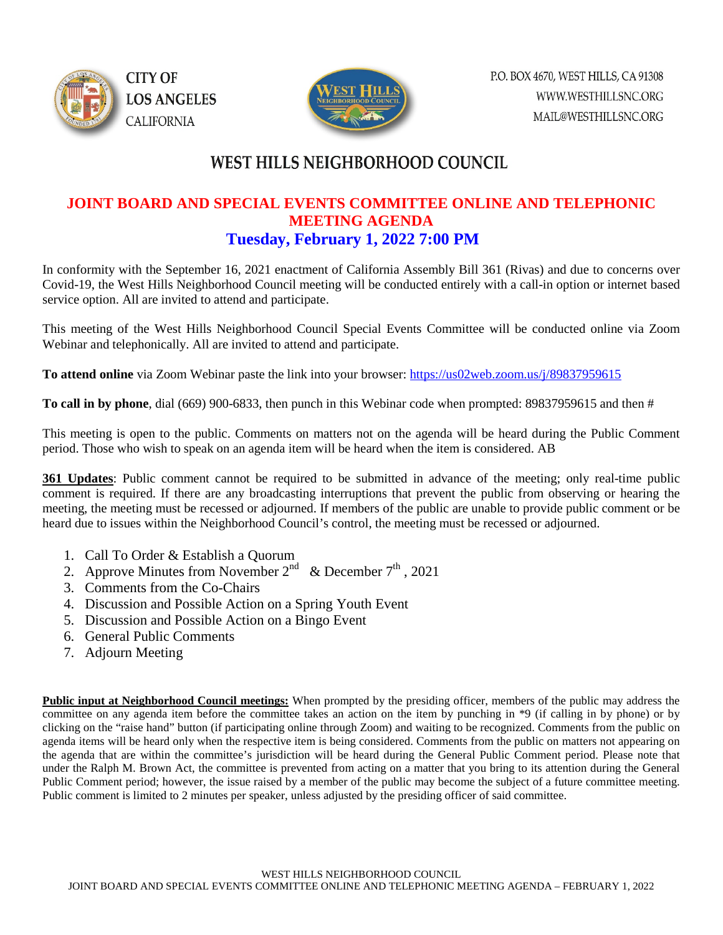



## WEST HILLS NEIGHBORHOOD COUNCIL

#### **JOINT BOARD AND SPECIAL EVENTS COMMITTEE ONLINE AND TELEPHONIC MEETING AGENDA Tuesday, February 1, 2022 7:00 PM**

In conformity with the September 16, 2021 enactment of California Assembly Bill 361 (Rivas) and due to concerns over Covid-19, the West Hills Neighborhood Council meeting will be conducted entirely with a call-in option or internet based service option. All are invited to attend and participate.

This meeting of the West Hills Neighborhood Council Special Events Committee will be conducted online via Zoom Webinar and telephonically. All are invited to attend and participate.

**To attend online** via Zoom Webinar paste the link into your browser:<https://us02web.zoom.us/j/89837959615>

**To call in by phone**, dial (669) 900-6833, then punch in this Webinar code when prompted: 89837959615 and then #

This meeting is open to the public. Comments on matters not on the agenda will be heard during the Public Comment period. Those who wish to speak on an agenda item will be heard when the item is considered. AB

**361 Updates**: Public comment cannot be required to be submitted in advance of the meeting; only real-time public comment is required. If there are any broadcasting interruptions that prevent the public from observing or hearing the meeting, the meeting must be recessed or adjourned. If members of the public are unable to provide public comment or be heard due to issues within the Neighborhood Council's control, the meeting must be recessed or adjourned.

- 1. Call To Order & Establish a Quorum
- 2. Approve Minutes from November  $2^{nd}$  & December  $7^{th}$ , 2021
- 3. Comments from the Co-Chairs
- 4. Discussion and Possible Action on a Spring Youth Event
- 5. Discussion and Possible Action on a Bingo Event
- 6. General Public Comments
- 7. Adjourn Meeting

**Public input at Neighborhood Council meetings:** When prompted by the presiding officer, members of the public may address the committee on any agenda item before the committee takes an action on the item by punching in \*9 (if calling in by phone) or by clicking on the "raise hand" button (if participating online through Zoom) and waiting to be recognized. Comments from the public on agenda items will be heard only when the respective item is being considered. Comments from the public on matters not appearing on the agenda that are within the committee's jurisdiction will be heard during the General Public Comment period. Please note that under the Ralph M. Brown Act, the committee is prevented from acting on a matter that you bring to its attention during the General Public Comment period; however, the issue raised by a member of the public may become the subject of a future committee meeting. Public comment is limited to 2 minutes per speaker, unless adjusted by the presiding officer of said committee.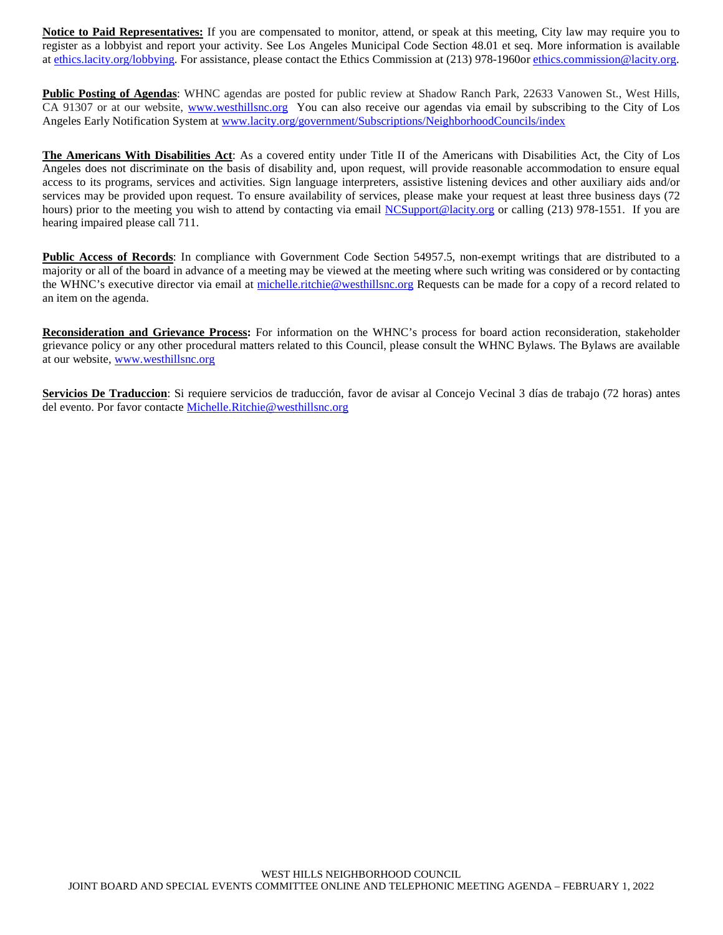**Notice to Paid Representatives:** If you are compensated to monitor, attend, or speak at this meeting, City law may require you to register as a lobbyist and report your activity. See Los Angeles Municipal Code Section 48.01 et seq. More information is available at [ethics.lacity.org/lobbying.](http://ethics.lacity.org/lobbying) For assistance, please contact the Ethics Commission at (213) 978-1960or [ethics.commission@lacity.org.](javascript:void(0);)

**Public Posting of Agendas**: WHNC agendas are posted for public review at Shadow Ranch Park, 22633 Vanowen St., West Hills, CA 91307 or at our website, [www.westhillsnc.org](http://www.westhillsnc.org/) You can also receive our agendas via email by subscribing to the City of Los Angeles Early Notification System at [www.lacity.org/government/Subscriptions/NeighborhoodCouncils/index](http://www.lacity.org/government/Subscriptions/NeighborhoodCouncils/index)

**The Americans With Disabilities Act**: As a covered entity under Title II of the Americans with Disabilities Act, the City of Los Angeles does not discriminate on the basis of disability and, upon request, will provide reasonable accommodation to ensure equal access to its programs, services and activities. Sign language interpreters, assistive listening devices and other auxiliary aids and/or services may be provided upon request. To ensure availability of services, please make your request at least three business days (72 hours) prior to the meeting you wish to attend by contacting via email [NCSupport@lacity.org](mailto:NCSupport@lacity.org) or calling (213) 978-1551. If you are hearing impaired please call 711.

**Public Access of Records**: In compliance with Government Code Section 54957.5, non-exempt writings that are distributed to a majority or all of the board in advance of a meeting may be viewed at the meeting where such writing was considered or by contacting the WHNC's executive director via email at [michelle.ritchie@westhillsnc.org](mailto:michelle.ritchie@westhillsnc.org) Requests can be made for a copy of a record related to an item on the agenda.

**Reconsideration and Grievance Process:** For information on the WHNC's process for board action reconsideration, stakeholder grievance policy or any other procedural matters related to this Council, please consult the WHNC Bylaws. The Bylaws are available at our website, [www.westhillsnc.org](http://www.westhillsnc.org/)

**Servicios De Traduccion**: Si requiere servicios de traducción, favor de avisar al Concejo Vecinal 3 días de trabajo (72 horas) antes del evento. Por favor contacte [Michelle.Ritchie@westhillsnc.org](mailto:Michelle.Ritchie@westhillsnc.org)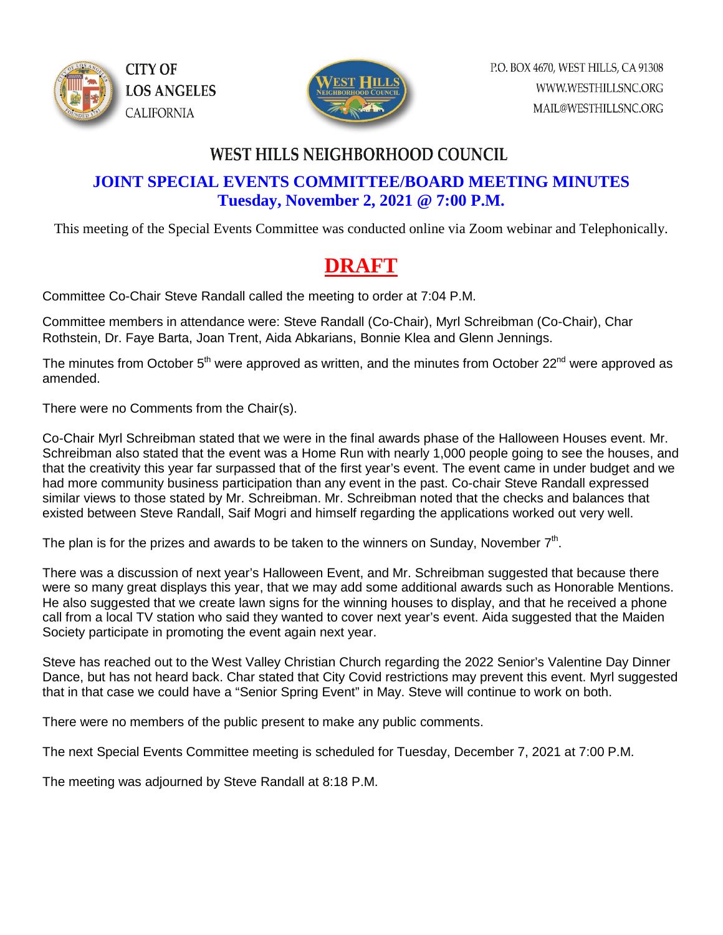



## **WEST HILLS NEIGHBORHOOD COUNCIL**

#### **JOINT SPECIAL EVENTS COMMITTEE/BOARD MEETING MINUTES Tuesday, November 2, 2021 @ 7:00 P.M.**

This meeting of the Special Events Committee was conducted online via Zoom webinar and Telephonically.

## **DRAFT**

Committee Co-Chair Steve Randall called the meeting to order at 7:04 P.M.

Committee members in attendance were: Steve Randall (Co-Chair), Myrl Schreibman (Co-Chair), Char Rothstein, Dr. Faye Barta, Joan Trent, Aida Abkarians, Bonnie Klea and Glenn Jennings.

The minutes from October  $5<sup>th</sup>$  were approved as written, and the minutes from October 22<sup>nd</sup> were approved as amended.

There were no Comments from the Chair(s).

Co-Chair Myrl Schreibman stated that we were in the final awards phase of the Halloween Houses event. Mr. Schreibman also stated that the event was a Home Run with nearly 1,000 people going to see the houses, and that the creativity this year far surpassed that of the first year's event. The event came in under budget and we had more community business participation than any event in the past. Co-chair Steve Randall expressed similar views to those stated by Mr. Schreibman. Mr. Schreibman noted that the checks and balances that existed between Steve Randall, Saif Mogri and himself regarding the applications worked out very well.

The plan is for the prizes and awards to be taken to the winners on Sunday, November  $7<sup>th</sup>$ .

There was a discussion of next year's Halloween Event, and Mr. Schreibman suggested that because there were so many great displays this year, that we may add some additional awards such as Honorable Mentions. He also suggested that we create lawn signs for the winning houses to display, and that he received a phone call from a local TV station who said they wanted to cover next year's event. Aida suggested that the Maiden Society participate in promoting the event again next year.

Steve has reached out to the West Valley Christian Church regarding the 2022 Senior's Valentine Day Dinner Dance, but has not heard back. Char stated that City Covid restrictions may prevent this event. Myrl suggested that in that case we could have a "Senior Spring Event" in May. Steve will continue to work on both.

There were no members of the public present to make any public comments.

The next Special Events Committee meeting is scheduled for Tuesday, December 7, 2021 at 7:00 P.M.

The meeting was adjourned by Steve Randall at 8:18 P.M.